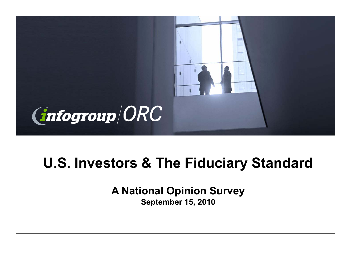

# **U.S. Investors & The Fiduciary Standard**

**A National Opinion Survey September 15, 2010**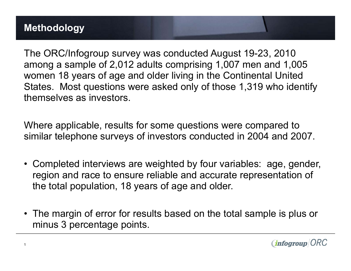The ORC/Infogroup survey was conducted August 19-23, 2010 among a sample of 2,012 adults comprising 1,007 men and 1,005 women 18 years of age and older living in the Continental United States. Most questions were asked only of those 1,319 who identify themselves as investors.

Where applicable, results for some questions were compared to similar telephone surveys of investors conducted in 2004 and 2007.

- Completed interviews are weighted by four variables: age, gender, region and race to ensure reliable and accurate representation of the total population, 18 years of age and older.
- The margin of error for results based on the total sample is plus or minus 3 percentage points.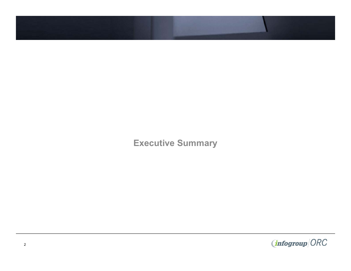**Executive Summary**

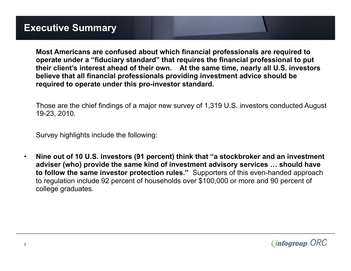**Most Americans are confused about which financial professionals are required to operate under a "fiduciary standard" that requires the financial professional to put their client's interest ahead of their own. At the same time, nearly all U.S. investors believe that all financial professionals providing investment advice should be required to operate under this pro-investor standard.**

Those are the chief findings of a major new survey of 1,319 U.S. investors conducted August 19-23, 2010.

Survey highlights include the following:

• **Nine out of 10 U.S. investors (91 percent) think that "a stockbroker and an investment adviser (who) provide the same kind of investment advisory services … should have to follow the same investor protection rules."** Supporters of this even-handed approach to regulation include 92 percent of households over \$100,000 or more and 90 percent of college graduates.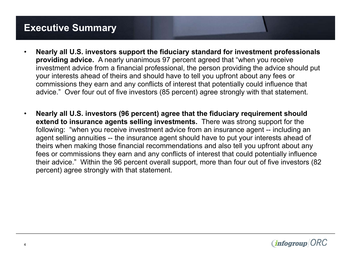## **Executive Summary**

- **Nearly all U.S. investors support the fiduciary standard for investment professionals providing advice.** A nearly unanimous 97 percent agreed that "when you receive investment advice from a financial professional, the person providing the advice should put your interests ahead of theirs and should have to tell you upfront about any fees or commissions they earn and any conflicts of interest that potentially could influence that advice." Over four out of five investors (85 percent) agree strongly with that statement.
- **Nearly all U.S. investors (96 percent) agree that the fiduciary requirement should extend to insurance agents selling investments.** There was strong support for the following: "when you receive investment advice from an insurance agent -- including an agent selling annuities -- the insurance agent should have to put your interests ahead of theirs when making those financial recommendations and also tell you upfront about any fees or commissions they earn and any conflicts of interest that could potentially influence their advice." Within the 96 percent overall support, more than four out of five investors (82 percent) agree strongly with that statement.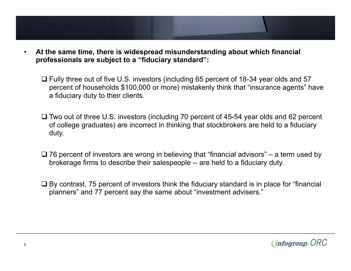- **At the same time, there is widespread misunderstanding about which financial professionals are subject to a "fiduciary standard":**
	- □ Fully three out of five U.S. investors (including 65 percent of 18-34 year olds and 57 percent of households \$100,000 or more) mistakenly think that "insurance agents" have a fiduciary duty to their clients.
	- $\Box$  Two out of three U.S. investors (including 70 percent of 45-54 year olds and 62 percent of college graduates) are incorrect in thinking that stockbrokers are held to a fiduciary duty.
	- $\Box$  76 percent of investors are wrong in believing that "financial advisors" a term used by brokerage firms to describe their salespeople -- are held to a fiduciary duty.
	- $\Box$  By contrast, 75 percent of investors think the fiduciary standard is in place for "financial" planners" and 77 percent say the same about "investment advisers."

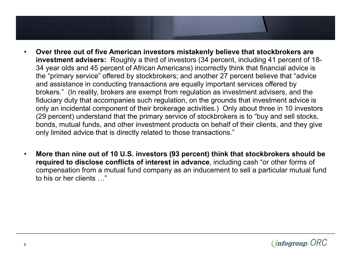- **Over three out of five American investors mistakenly believe that stockbrokers are investment advisers:** Roughly a third of investors (34 percent, including 41 percent of 18- 34 year olds and 45 percent of African Americans) incorrectly think that financial advice is the "primary service" offered by stockbrokers; and another 27 percent believe that "advice and assistance in conducting transactions are equally important services offered by brokers." (In reality, brokers are exempt from regulation as investment advisers, and the fiduciary duty that accompanies such regulation, on the grounds that investment advice is only an incidental component of their brokerage activities.) Only about three in 10 investors (29 percent) understand that the primary service of stockbrokers is to "buy and sell stocks, bonds, mutual funds, and other investment products on behalf of their clients, and they give only limited advice that is directly related to those transactions."
- **More than nine out of 10 U.S. investors (93 percent) think that stockbrokers should be required to disclose conflicts of interest in advance**, including cash "or other forms of compensation from a mutual fund company as an inducement to sell a particular mutual fund to his or her clients …"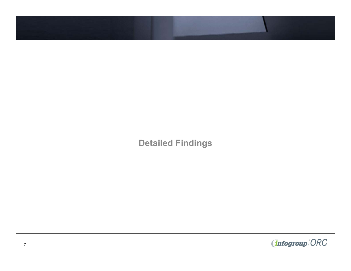**Detailed Findings**

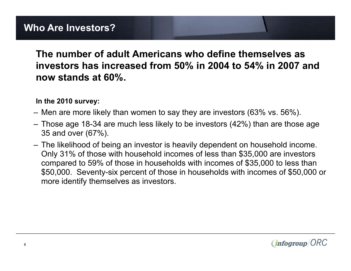#### **The number of adult Americans who define themselves as investors has increased from 50% in 2004 to 54% in 2007 and now stands at 60%.**

#### **In the 2010 survey:**

- Men are more likely than women to say they are investors (63% vs. 56%).
- Those age 18-34 are much less likely to be investors (42%) than are those age 35 and over (67%).
- The likelihood of being an investor is heavily dependent on household income. Only 31% of those with household incomes of less than \$35,000 are investors compared to 59% of those in households with incomes of \$35,000 to less than \$50,000. Seventy-six percent of those in households with incomes of \$50,000 or more identify themselves as investors.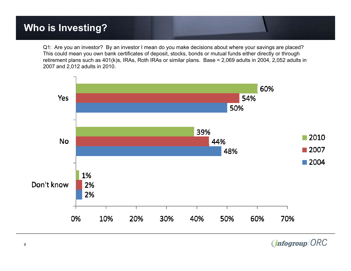Q1: Are you an investor? By an investor I mean do you make decisions about where your savings are placed? This could mean you own bank certificates of deposit, stocks, bonds or mutual funds either directly or through retirement plans such as 401(k)s, IRAs, Roth IRAs or similar plans. Base = 2,069 adults in 2004, 2,052 adults in 2007 and 2,012 adults in 2010.



**infogroup ORC**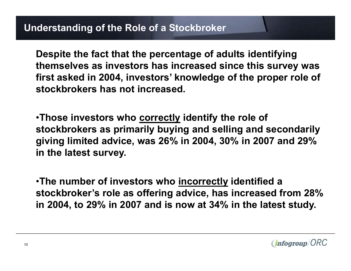**Despite the fact that the percentage of adults identifying themselves as investors has increased since this survey was first asked in 2004, investors' knowledge of the proper role of stockbrokers has not increased.** 

•**Those investors who correctly identify the role of stockbrokers as primarily buying and selling and secondarily giving limited advice, was 26% in 2004, 30% in 2007 and 29% in the latest survey.** 

•**The number of investors who incorrectly identified a stockbroker's role as offering advice, has increased from 28% in 2004, to 29% in 2007 and is now at 34% in the latest study.**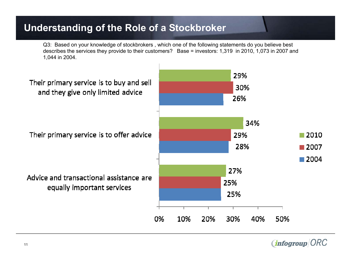# **Understanding of the Role of a Stockbroker**

Q3: Based on your knowledge of stockbrokers , which one of the following statements do you believe best describes the services they provide to their customers? Base = investors: 1,319 in 2010, 1,073 in 2007 and 1,044 in 2004.



*infogroup*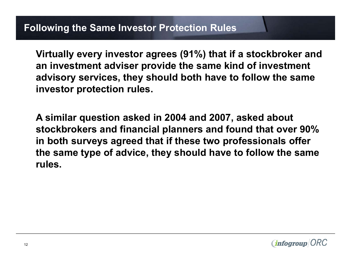**Virtually every investor agrees (91%) that if a stockbroker and an investment adviser provide the same kind of investment advisory services, they should both have to follow the same investor protection rules.** 

**A similar question asked in 2004 and 2007, asked about stockbrokers and financial planners and found that over 90% in both surveys agreed that if these two professionals offer the same type of advice, they should have to follow the same rules.**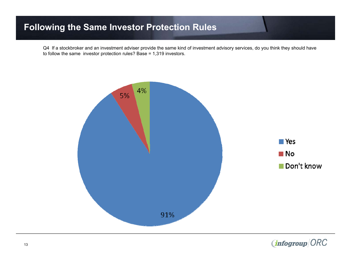#### **Following the Same Investor Protection Rules**

Q4 If a stockbroker and an investment adviser provide the same kind of investment advisory services, do you think they should have to follow the same investor protection rules? Base = 1,319 investors.



(infogroup ORC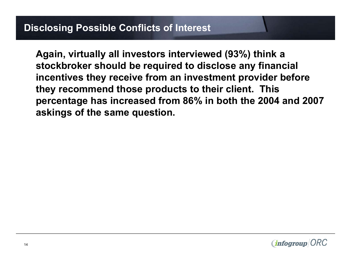### **Disclosing Possible Conflicts of Interest**

**Again, virtually all investors interviewed (93%) think a stockbroker should be required to disclose any financial incentives they receive from an investment provider before they recommend those products to their client. This percentage has increased from 86% in both the 2004 and 2007 askings of the same question.**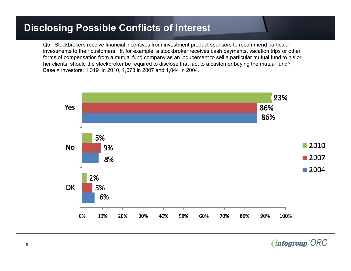### **Disclosing Possible Conflicts of Interest**

Q5: Stockbrokers receive financial incentives from investment product sponsors to recommend particular investments to their customers. If, for example, a stockbroker receives cash payments, vacation trips or other forms of compensation from a mutual fund company as an inducement to sell a particular mutual fund to his or her clients, should the stockbroker be required to disclose that fact to a customer buying the mutual fund? Base = investors: 1,319 in 2010, 1,073 in 2007 and 1,044 in 2004.



*(infogroup ORC*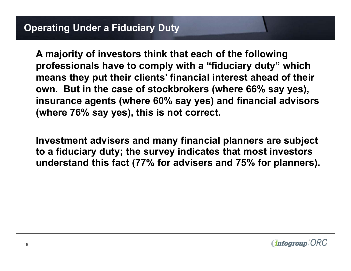**A majority of investors think that each of the following professionals have to comply with a "fiduciary duty" which means they put their clients' financial interest ahead of their own. But in the case of stockbrokers (where 66% say yes), insurance agents (where 60% say yes) and financial advisors (where 76% say yes), this is not correct.**

**Investment advisers and many financial planners are subject to a fiduciary duty; the survey indicates that most investors understand this fact (77% for advisers and 75% for planners).**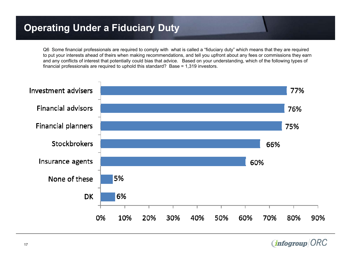Q6 Some financial professionals are required to comply with what is called a "fiduciary duty" which means that they are required to put your interests ahead of theirs when making recommendations, and tell you upfront about any fees or commissions they earn and any conflicts of interest that potentially could bias that advice. Based on your understanding, which of the following types of financial professionals are required to uphold this standard? Base = 1,319 investors.



*(infogroup ORC*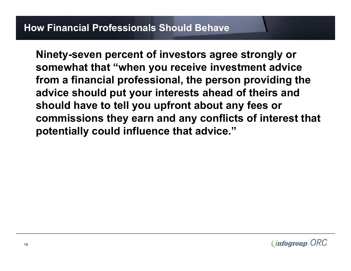**Ninety-seven percent of investors agree strongly or somewhat that "when you receive investment advice from a financial professional, the person providing the advice should put your interests ahead of theirs and should have to tell you upfront about any fees or commissions they earn and any conflicts of interest that potentially could influence that advice."**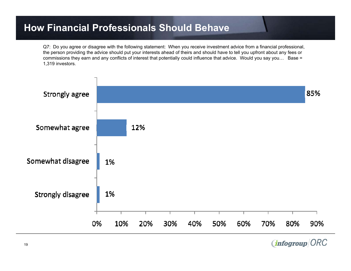#### **How Financial Professionals Should Behave**

Q7: Do you agree or disagree with the following statement: When you receive investment advice from a financial professional, the person providing the advice should put your interests ahead of theirs and should have to tell you upfront about any fees or commissions they earn and any conflicts of interest that potentially could influence that advice. Would you say you… Base = 1,319 investors.



**infogroup ORC**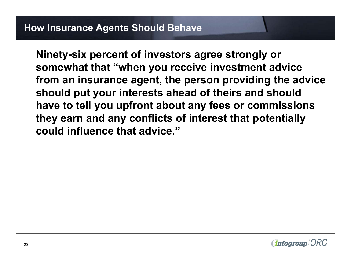**Ninety-six percent of investors agree strongly or somewhat that "when you receive investment advice from an insurance agent, the person providing the advice should put your interests ahead of theirs and should have to tell you upfront about any fees or commissions they earn and any conflicts of interest that potentially could influence that advice."**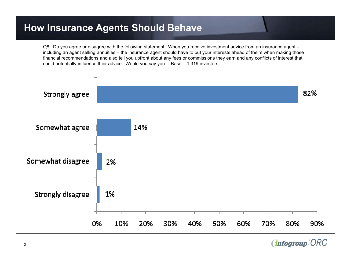#### **How Insurance Agents Should Behave**

Q8: Do you agree or disagree with the following statement: When you receive investment advice from an insurance agent – including an agent selling annuities – the insurance agent should have to put your interests ahead of theirs when making those financial recommendations and also tell you upfront about any fees or commissions they earn and any conflicts of interest that could potentially influence their advice. Would you say you… Base = 1,319 investors.



(infogroup ORC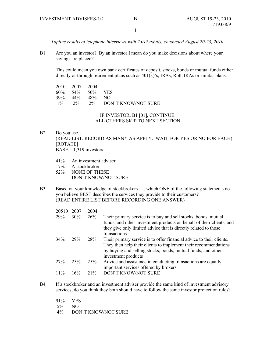1

*Topline results of telephone interviews with 2,012 adults, conducted August 20-23, 2010.* 

B1 Are you an investor? By an investor I mean do you make decisions about where your savings are placed?

This could mean you own bank certificates of deposit, stocks, bonds or mutual funds either directly or through retirement plans such as 401(k)'s, IRAs, Roth IRAs or similar plans.

 2010 2007 2004 60% 54% 50% YES 39% 44% 48% NO 1% 2% 2% DON'T KNOW/NOT SURE

#### IF INVESTOR, B1 [01], CONTINUE. ALL OTHERS SKIP TO NEXT SECTION

- B2 Do you use… (READ LIST. RECORD AS MANY AS APPLY. WAIT FOR YES OR NO FOR EACH) [ROTATE]  $BASE = 1,319$  investors
	- 41% An investment adviser
	- 17% A stockbroker
	- 52% NONE OF THESE
	- -- DON'T KNOW/NOT SURE
- B3 Based on your knowledge of stockbrokers . . . which ONE of the following statements do you believe BEST describes the services they provide to their customers? (READ ENTIRE LIST BEFORE RECORDING ONE ANSWER)

| 20510  | 2007   | 2004   |                                                                                                                                                                                                                                |
|--------|--------|--------|--------------------------------------------------------------------------------------------------------------------------------------------------------------------------------------------------------------------------------|
| 29%    | $30\%$ | 26%    | Their primary service is to buy and sell stocks, bonds, mutual<br>funds, and other investment products on behalf of their clients, and<br>they give only limited advice that is directly related to those<br>transactions      |
| $34\%$ | 29%    | 28%    | Their primary service is to offer financial advice to their clients.<br>They then help their clients to implement their recommendations<br>by buying and selling stocks, bonds, mutual funds, and other<br>investment products |
| 27%    | 25%    | 25%    | Advice and assistance in conducting transactions are equally<br>important services offered by brokers                                                                                                                          |
| $11\%$ | 16%    | $21\%$ | DON'T KNOW/NOT SURE                                                                                                                                                                                                            |
|        |        |        |                                                                                                                                                                                                                                |

B4 If a stockbroker and an investment adviser provide the same kind of investment advisory services, do you think they both should have to follow the same investor protection rules?

91% YES 5% NO 4% DON'T KNOW/NOT SURE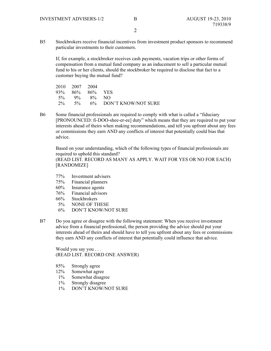$\mathfrak{D}$ 

B5 Stockbrokers receive financial incentives from investment product sponsors to recommend particular investments to their customers.

If, for example, a stockbroker receives cash payments, vacation trips or other forms of compensation from a mutual fund company as an inducement to sell a particular mutual fund to his or her clients, should the stockbroker be required to disclose that fact to a customer buying the mutual fund?

|  | 2010 2007 2004 |                 |                                 |
|--|----------------|-----------------|---------------------------------|
|  |                | 93% 86% 86% YES |                                 |
|  |                | $5\%$ 9% 8% NO  |                                 |
|  |                |                 | $2\%$ 5% 6% DON'T KNOW/NOT SURE |

B6 Some financial professionals are required to comply with what is called a "fiduciary [PRONOUNCED: fi-DOO-shee-er-ee] duty" which means that they are required to put your interests ahead of theirs when making recommendations, and tell you upfront about any fees or commissions they earn AND any conflicts of interest that potentially could bias that advice.

Based on your understanding, which of the following types of financial professionals are required to uphold this standard? (READ LIST. RECORD AS MANY AS APPLY. WAIT FOR YES OR NO FOR EACH) [RANDOMIZE]

- 77% Investment advisers
- 75% Financial planners
- 60% Insurance agents
- 76% Financial advisors
- 66% Stockbrokers
- 
- 5% NONE OF THESE<br>6% DON'T KNOW/NO DON'T KNOW/NOT SURE
- B7 Do you agree or disagree with the following statement: When you receive investment advice from a financial professional, the person providing the advice should put your interests ahead of theirs and should have to tell you upfront about any fees or commissions they earn AND any conflicts of interest that potentially could influence that advice.

 Would you say you . . . (READ LIST. RECORD ONE ANSWER)

- 85% Strongly agree
- 12% Somewhat agree
- 1% Somewhat disagree
- 1% Strongly disagree
- 1% DON'T KNOW/NOT SURE